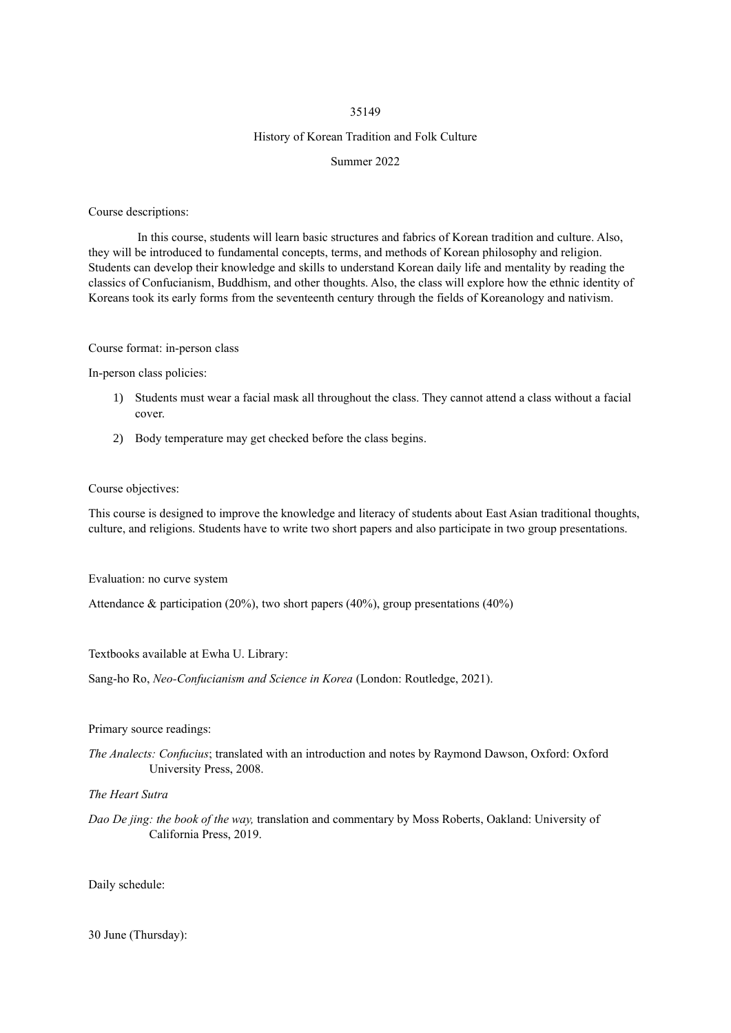#### 35149

#### History of Korean Tradition and Folk Culture

#### Summer 2022

Course descriptions:

In this course, students will learn basic structures and fabrics of Korean tradition and culture. Also, they will be introduced to fundamental concepts, terms, and methods of Korean philosophy and religion. Students can develop their knowledge and skills to understand Korean daily life and mentality by reading the classics of Confucianism, Buddhism, and other thoughts. Also, the class will explore how the ethnic identity of Koreans took its early forms from the seventeenth century through the fields of Koreanology and nativism.

#### Course format: in-person class

In-person class policies:

- 1) Students must wear a facial mask all throughout the class. They cannot attend a class without a facial cover.
- 2) Body temperature may get checked before the class begins.

#### Course objectives:

This course is designed to improve the knowledge and literacy of students about East Asian traditional thoughts, culture, and religions. Students have to write two short papers and also participate in two group presentations.

Evaluation: no curve system

Attendance & participation (20%), two short papers (40%), group presentations (40%)

Textbooks available at Ewha U. Library:

Sang-ho Ro, *Neo-Confucianism and Science in Korea* (London: Routledge, 2021).

#### Primary source readings:

*The Analects: Confucius*; translated with an introduction and notes by Raymond Dawson, Oxford: Oxford University Press, 2008.

*The Heart Sutra*

*Dao De jing: the book of the way,* translation and commentary by Moss Roberts, Oakland: University of California Press, 2019.

Daily schedule:

30 June (Thursday):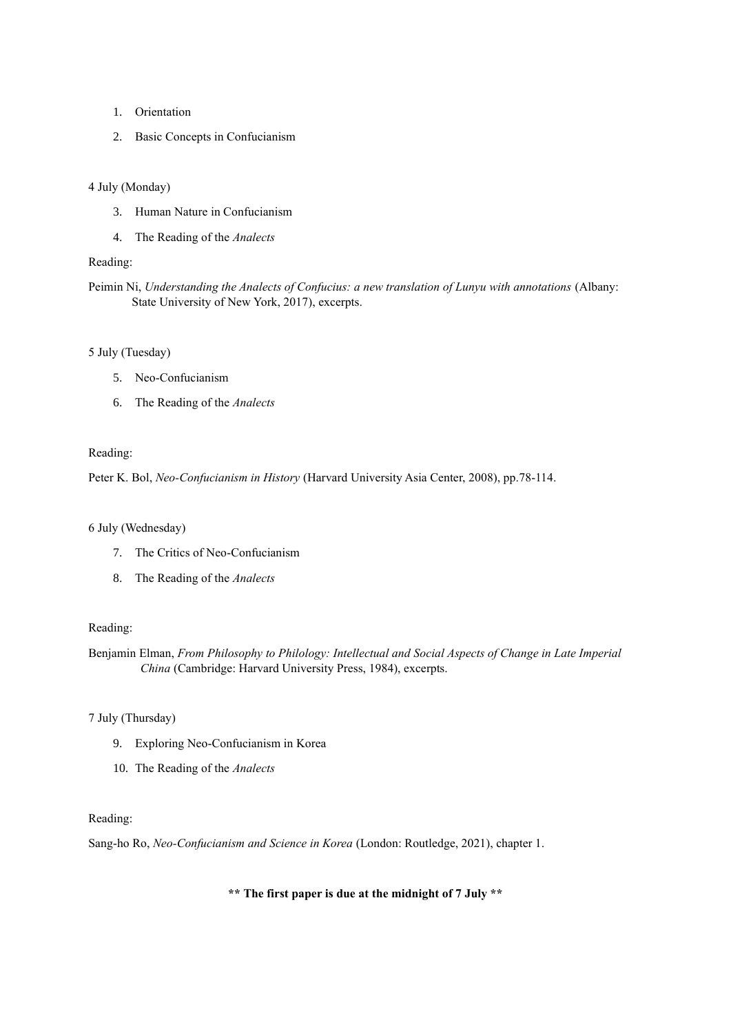- 1. Orientation
- 2. Basic Concepts in Confucianism

### 4 July (Monday)

- 3. Human Nature in Confucianism
- 4. The Reading of the *Analects*

## Reading:

Peimin Ni, *Understanding the Analects of Confucius: a new translation of Lunyu with annotations* (Albany: State University of New York, 2017), excerpts.

## 5 July (Tuesday)

- 5. Neo-Confucianism
- 6. The Reading of the *Analects*

### Reading:

Peter K. Bol, *Neo-Confucianism in History* (Harvard University Asia Center, 2008), pp.78-114.

## 6 July (Wednesday)

- 7. The Critics of Neo-Confucianism
- 8. The Reading of the *Analects*

### Reading:

Benjamin Elman, *From Philosophy to Philology: Intellectual and Social Aspects of Change in Late Imperial China* (Cambridge: Harvard University Press, 1984), excerpts.

### 7 July (Thursday)

- 9. Exploring Neo-Confucianism in Korea
- 10. The Reading of the *Analects*

### Reading:

Sang-ho Ro, *Neo-Confucianism and Science in Korea* (London: Routledge, 2021), chapter 1.

## **\*\* The first paper is due at the midnight of 7 July \*\***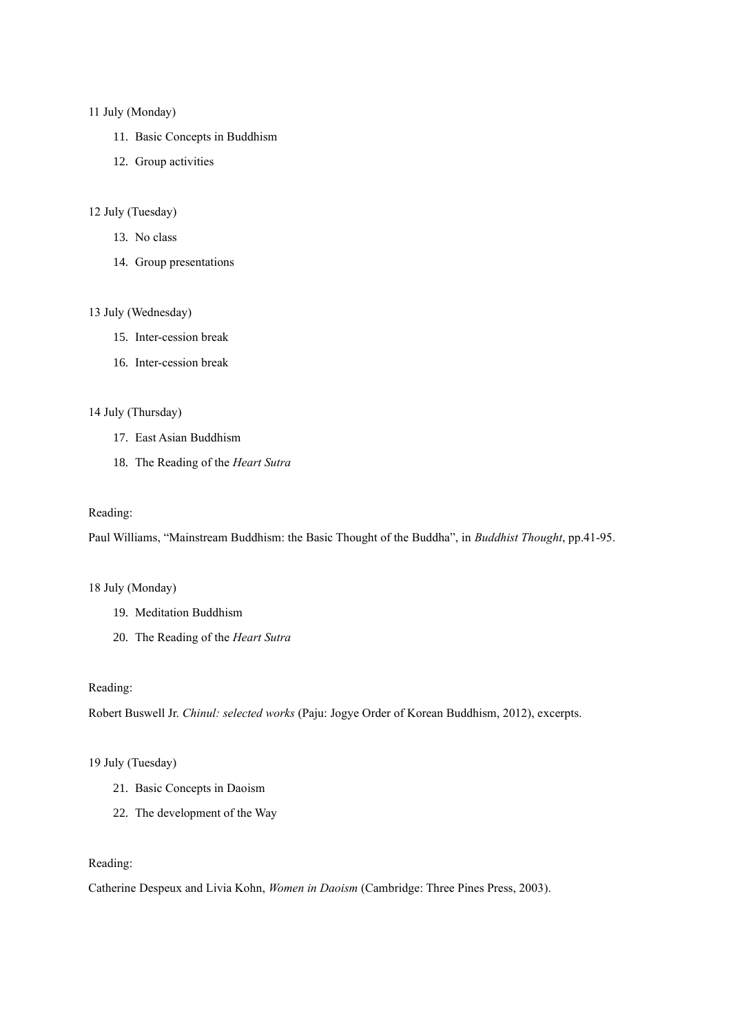#### 11 July (Monday)

- 11. Basic Concepts in Buddhism
- 12. Group activities

## 12 July (Tuesday)

- 13. No class
- 14. Group presentations

### 13 July (Wednesday)

- 15. Inter-cession break
- 16. Inter-cession break

### 14 July (Thursday)

- 17. East Asian Buddhism
- 18. The Reading of the *Heart Sutra*

### Reading:

Paul Williams, "Mainstream Buddhism: the Basic Thought of the Buddha", in *Buddhist Thought*, pp.41-95.

## 18 July (Monday)

- 19. Meditation Buddhism
- 20. The Reading of the *Heart Sutra*

#### Reading:

Robert Buswell Jr. *Chinul: selected works* (Paju: Jogye Order of Korean Buddhism, 2012), excerpts.

## 19 July (Tuesday)

- 21. Basic Concepts in Daoism
- 22. The development of the Way

### Reading:

Catherine Despeux and Livia Kohn, *Women in Daoism* (Cambridge: Three Pines Press, 2003).